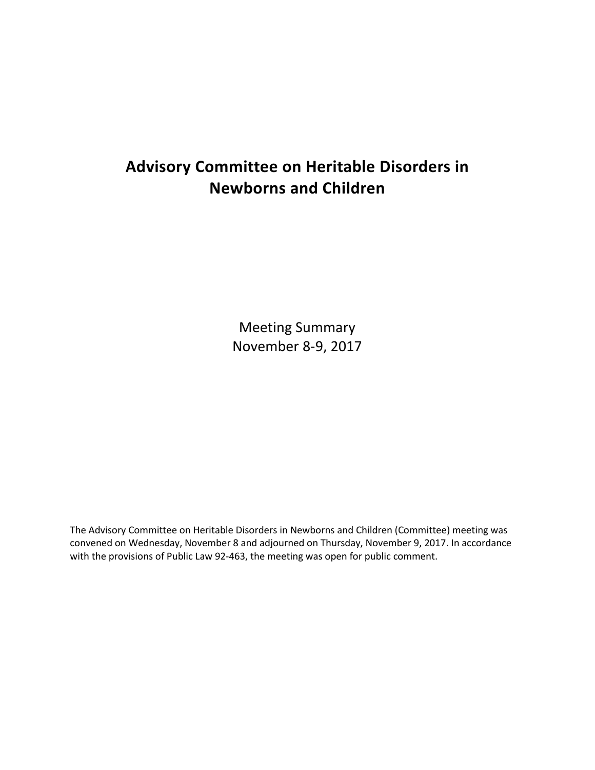# **Advisory Committee on Heritable Disorders in Newborns and Children**

Meeting Summary November 8-9, 2017

The Advisory Committee on Heritable Disorders in Newborns and Children (Committee) meeting was convened on Wednesday, November 8 and adjourned on Thursday, November 9, 2017. In accordance with the provisions of Public Law 92-463, the meeting was open for public comment.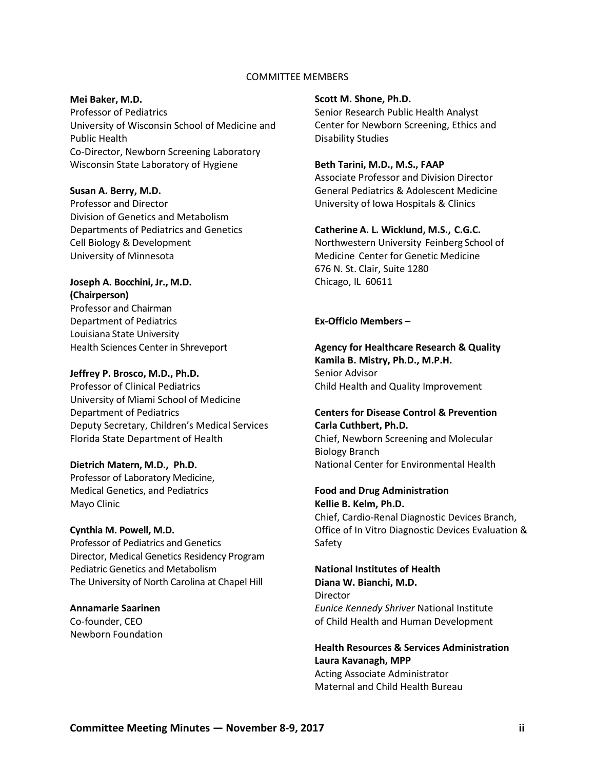### COMMITTEE MEMBERS

#### **Mei Baker, M.D.**

Professor of Pediatrics University of Wisconsin School of Medicine and Public Health Co-Director, Newborn Screening Laboratory Wisconsin State Laboratory of Hygiene

#### **Susan A. Berry, M.D.**

Professor and Director Division of Genetics and Metabolism Departments of Pediatrics and Genetics Cell Biology & Development University of Minnesota

### **Joseph A. Bocchini, Jr., M.D. (Chairperson)**

Professor and Chairman Department of Pediatrics Louisiana State University Health Sciences Center in Shreveport

### **Jeffrey P. Brosco, M.D., Ph.D.**

Professor of Clinical Pediatrics University of Miami School of Medicine Department of Pediatrics Deputy Secretary, Children's Medical Services Florida State Department of Health

### **Dietrich Matern, M.D., Ph.D.**

Professor of Laboratory Medicine, Medical Genetics, and Pediatrics Mayo Clinic

#### **Cynthia M. Powell, M.D.**

Professor of Pediatrics and Genetics Director, Medical Genetics Residency Program Pediatric Genetics and Metabolism The University of North Carolina at Chapel Hill

**Annamarie Saarinen** Co-founder, CEO Newborn Foundation

#### **Scott M. Shone, Ph.D.**

Senior Research Public Health Analyst Center for Newborn Screening, Ethics and Disability Studies

#### **Beth Tarini, M.D., M.S., FAAP**

Associate Professor and Division Director General Pediatrics & Adolescent Medicine University of Iowa Hospitals & Clinics

#### **Catherine A. L. Wicklund, M.S., C.G.C.**

Northwestern University Feinberg School of Medicine Center for Genetic Medicine 676 N. St. Clair, Suite 1280 Chicago, IL 60611

#### **Ex-Officio Members –**

**Agency for Healthcare Research & Quality Kamila B. Mistry, Ph.D., M.P.H.**  Senior Advisor Child Health and Quality Improvement

### **Centers for Disease Control & Prevention Carla Cuthbert, Ph.D.**

Chief, Newborn Screening and Molecular Biology Branch National Center for Environmental Health

## **Food and Drug Administration Kellie B. Kelm, Ph.D.**  Chief, Cardio-Renal Diagnostic Devices Branch, Office of In Vitro Diagnostic Devices Evaluation &

Safety **National Institutes of Health** 

# **Diana W. Bianchi, M.D.** Director

*Eunice Kennedy Shriver* National Institute of Child Health and Human Development

### **Health Resources & Services Administration Laura Kavanagh, MPP** Acting Associate Administrator Maternal and Child Health Bureau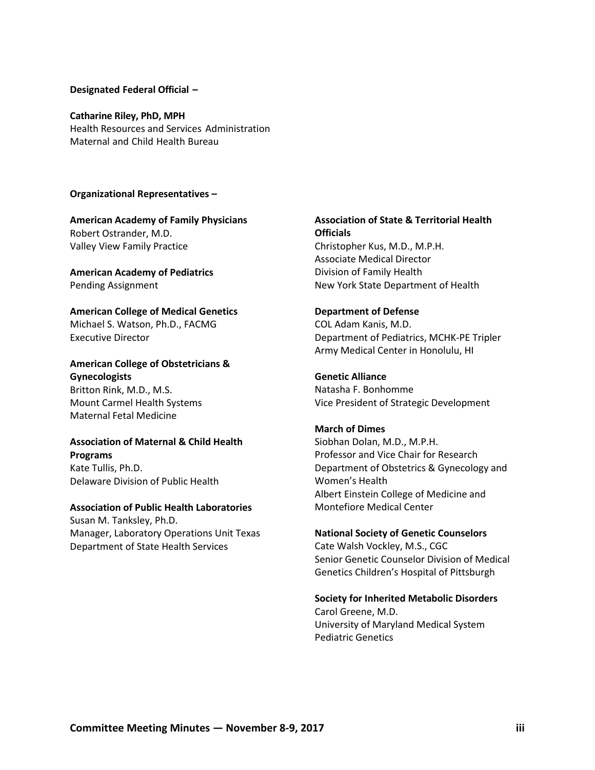#### **Designated Federal Official –**

#### **Catharine Riley, PhD, MPH**

Health Resources and Services Administration Maternal and Child Health Bureau

#### **Organizational Representatives –**

**American Academy of Family Physicians** Robert Ostrander, M.D. Valley View Family Practice

**American Academy of Pediatrics** Pending Assignment

**American College of Medical Genetics**  Michael S. Watson, Ph.D., FACMG Executive Director

## **American College of Obstetricians & Gynecologists**

Britton Rink, M.D., M.S. Mount Carmel Health Systems Maternal Fetal Medicine

## **Association of Maternal & Child Health Programs**

Kate Tullis, Ph.D. Delaware Division of Public Health

## **Association of Public Health Laboratories**

Susan M. Tanksley, Ph.D. Manager, Laboratory Operations Unit Texas Department of State Health Services

## **Association of State & Territorial Health Officials** Christopher Kus, M.D., M.P.H.

Associate Medical Director Division of Family Health New York State Department of Health

### **Department of Defense**

COL Adam Kanis, M.D. Department of Pediatrics, MCHK-PE Tripler Army Medical Center in Honolulu, HI

### **Genetic Alliance**

Natasha F. Bonhomme Vice President of Strategic Development

#### **March of Dimes**

Siobhan Dolan, M.D., M.P.H. Professor and Vice Chair for Research Department of Obstetrics & Gynecology and Women's Health Albert Einstein College of Medicine and Montefiore Medical Center

#### **National Society of Genetic Counselors**

Cate Walsh Vockley, M.S., CGC Senior Genetic Counselor Division of Medical Genetics Children's Hospital of Pittsburgh

### **Society for Inherited Metabolic Disorders**

Carol Greene, M.D. University of Maryland Medical System Pediatric Genetics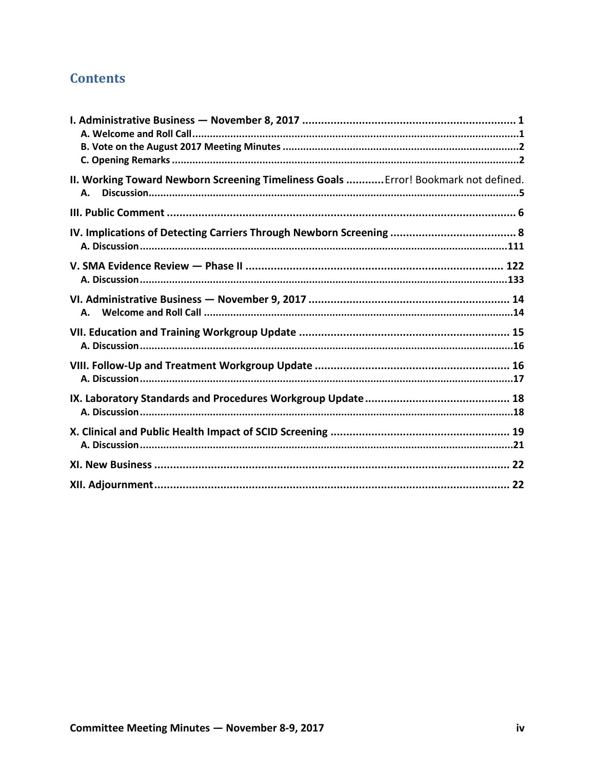## **Contents**

| II. Working Toward Newborn Screening Timeliness Goals  Error! Bookmark not defined.<br>А. |
|-------------------------------------------------------------------------------------------|
|                                                                                           |
|                                                                                           |
|                                                                                           |
| А.                                                                                        |
|                                                                                           |
|                                                                                           |
|                                                                                           |
|                                                                                           |
|                                                                                           |
|                                                                                           |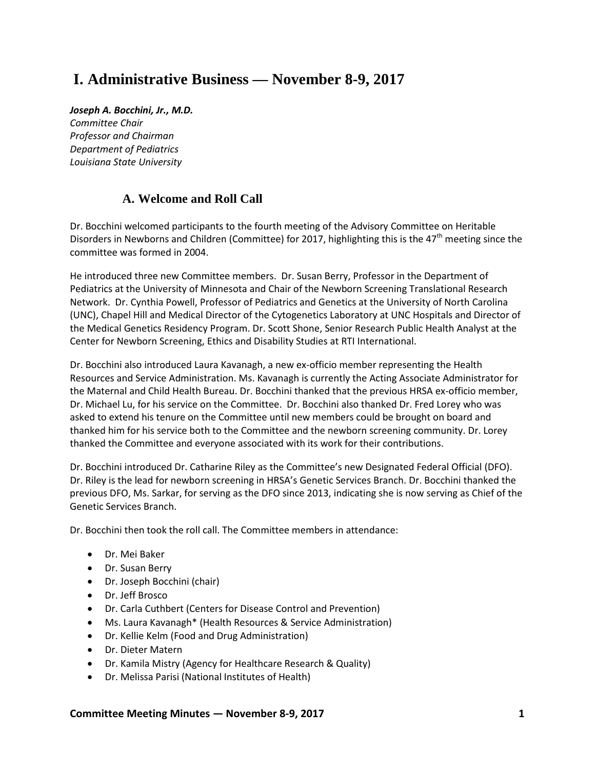# <span id="page-4-0"></span>**I. Administrative Business — November 8-9, 2017**

*Joseph A. Bocchini, Jr., M.D. Committee Chair Professor and Chairman Department of Pediatrics Louisiana State University*

## **A. Welcome and Roll Call**

<span id="page-4-1"></span>Dr. Bocchini welcomed participants to the fourth meeting of the Advisory Committee on Heritable Disorders in Newborns and Children (Committee) for 2017, highlighting this is the  $47<sup>th</sup>$  meeting since the committee was formed in 2004.

He introduced three new Committee members. Dr. Susan Berry, Professor in the Department of Pediatrics at the University of Minnesota and Chair of the Newborn Screening Translational Research Network. Dr. Cynthia Powell, Professor of Pediatrics and Genetics at the University of North Carolina (UNC), Chapel Hill and Medical Director of the Cytogenetics Laboratory at UNC Hospitals and Director of the Medical Genetics Residency Program. Dr. Scott Shone, Senior Research Public Health Analyst at the Center for Newborn Screening, Ethics and Disability Studies at RTI International.

Dr. Bocchini also introduced Laura Kavanagh, a new ex-officio member representing the Health Resources and Service Administration. Ms. Kavanagh is currently the Acting Associate Administrator for the Maternal and Child Health Bureau. Dr. Bocchini thanked that the previous HRSA ex-officio member, Dr. Michael Lu, for his service on the Committee. Dr. Bocchini also thanked Dr. Fred Lorey who was asked to extend his tenure on the Committee until new members could be brought on board and thanked him for his service both to the Committee and the newborn screening community. Dr. Lorey thanked the Committee and everyone associated with its work for their contributions.

Dr. Bocchini introduced Dr. Catharine Riley as the Committee's new Designated Federal Official (DFO). Dr. Riley is the lead for newborn screening in HRSA's Genetic Services Branch. Dr. Bocchini thanked the previous DFO, Ms. Sarkar, for serving as the DFO since 2013, indicating she is now serving as Chief of the Genetic Services Branch.

Dr. Bocchini then took the roll call. The Committee members in attendance:

- Dr. Mei Baker
- Dr. Susan Berry
- Dr. Joseph Bocchini (chair)
- Dr. Jeff Brosco
- Dr. Carla Cuthbert (Centers for Disease Control and Prevention)
- Ms. Laura Kavanagh\* (Health Resources & Service Administration)
- Dr. Kellie Kelm (Food and Drug Administration)
- Dr. Dieter Matern
- Dr. Kamila Mistry (Agency for Healthcare Research & Quality)
- Dr. Melissa Parisi (National Institutes of Health)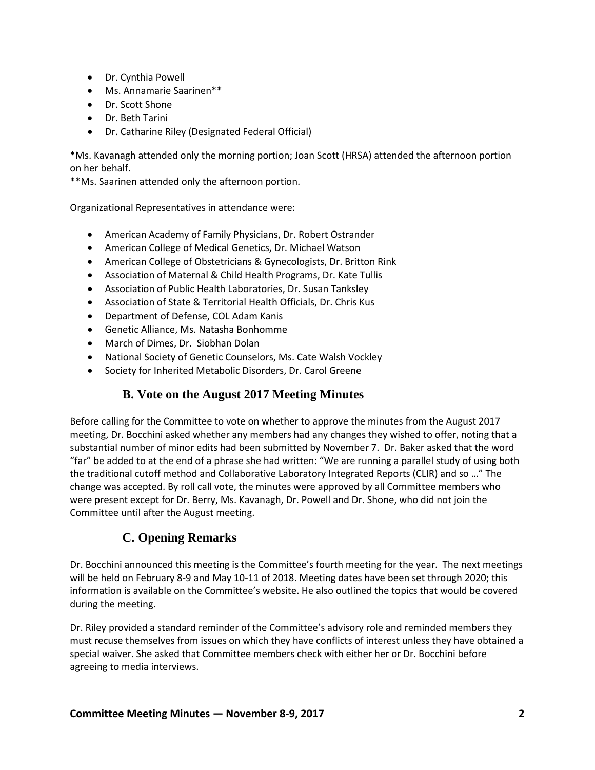- Dr. Cynthia Powell
- Ms. Annamarie Saarinen\*\*
- Dr. Scott Shone
- Dr. Beth Tarini
- Dr. Catharine Riley (Designated Federal Official)

\*Ms. Kavanagh attended only the morning portion; Joan Scott (HRSA) attended the afternoon portion on her behalf.

\*\*Ms. Saarinen attended only the afternoon portion.

Organizational Representatives in attendance were:

- American Academy of Family Physicians, Dr. Robert Ostrander
- American College of Medical Genetics, Dr. Michael Watson
- American College of Obstetricians & Gynecologists, Dr. Britton Rink
- Association of Maternal & Child Health Programs, Dr. Kate Tullis
- Association of Public Health Laboratories, Dr. Susan Tanksley
- Association of State & Territorial Health Officials, Dr. Chris Kus
- Department of Defense, COL Adam Kanis
- Genetic Alliance, Ms. Natasha Bonhomme
- March of Dimes, Dr. Siobhan Dolan
- National Society of Genetic Counselors, Ms. Cate Walsh Vockley
- <span id="page-5-0"></span>• Society for Inherited Metabolic Disorders, Dr. Carol Greene

## **B. Vote on the August 2017 Meeting Minutes**

Before calling for the Committee to vote on whether to approve the minutes from the August 2017 meeting, Dr. Bocchini asked whether any members had any changes they wished to offer, noting that a substantial number of minor edits had been submitted by November 7. Dr. Baker asked that the word "far" be added to at the end of a phrase she had written: "We are running a parallel study of using both the traditional cutoff method and Collaborative Laboratory Integrated Reports (CLIR) and so …" The change was accepted. By roll call vote, the minutes were approved by all Committee members who were present except for Dr. Berry, Ms. Kavanagh, Dr. Powell and Dr. Shone, who did not join the Committee until after the August meeting.

## **C. Opening Remarks**

<span id="page-5-1"></span>Dr. Bocchini announced this meeting is the Committee's fourth meeting for the year. The next meetings will be held on February 8-9 and May 10-11 of 2018. Meeting dates have been set through 2020; this information is available on the Committee's website. He also outlined the topics that would be covered during the meeting.

Dr. Riley provided a standard reminder of the Committee's advisory role and reminded members they must recuse themselves from issues on which they have conflicts of interest unless they have obtained a special waiver. She asked that Committee members check with either her or Dr. Bocchini before agreeing to media interviews.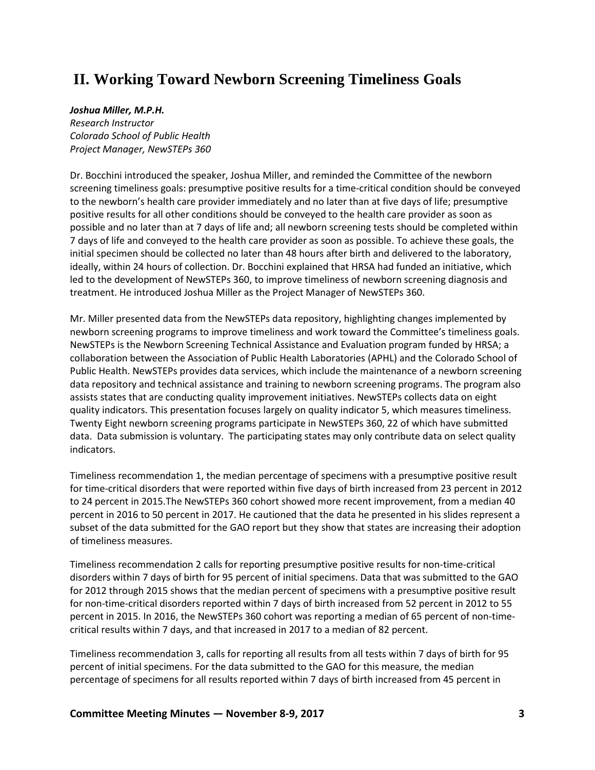# **II. Working Toward Newborn Screening Timeliness Goals**

### *Joshua Miller, M.P.H.*

*Research Instructor Colorado School of Public Health Project Manager, NewSTEPs 360*

Dr. Bocchini introduced the speaker, Joshua Miller, and reminded the Committee of the newborn screening timeliness goals: presumptive positive results for a time-critical condition should be conveyed to the newborn's health care provider immediately and no later than at five days of life; presumptive positive results for all other conditions should be conveyed to the health care provider as soon as possible and no later than at 7 days of life and; all newborn screening tests should be completed within 7 days of life and conveyed to the health care provider as soon as possible. To achieve these goals, the initial specimen should be collected no later than 48 hours after birth and delivered to the laboratory, ideally, within 24 hours of collection. Dr. Bocchini explained that HRSA had funded an initiative, which led to the development of NewSTEPs 360, to improve timeliness of newborn screening diagnosis and treatment. He introduced Joshua Miller as the Project Manager of NewSTEPs 360.

Mr. Miller presented data from the NewSTEPs data repository, highlighting changes implemented by newborn screening programs to improve timeliness and work toward the Committee's timeliness goals. NewSTEPs is the Newborn Screening Technical Assistance and Evaluation program funded by HRSA; a collaboration between the Association of Public Health Laboratories (APHL) and the Colorado School of Public Health. NewSTEPs provides data services, which include the maintenance of a newborn screening data repository and technical assistance and training to newborn screening programs. The program also assists states that are conducting quality improvement initiatives. NewSTEPs collects data on eight quality indicators. This presentation focuses largely on quality indicator 5, which measures timeliness. Twenty Eight newborn screening programs participate in NewSTEPs 360, 22 of which have submitted data. Data submission is voluntary. The participating states may only contribute data on select quality indicators.

Timeliness recommendation 1, the median percentage of specimens with a presumptive positive result for time-critical disorders that were reported within five days of birth increased from 23 percent in 2012 to 24 percent in 2015.The NewSTEPs 360 cohort showed more recent improvement, from a median 40 percent in 2016 to 50 percent in 2017. He cautioned that the data he presented in his slides represent a subset of the data submitted for the GAO report but they show that states are increasing their adoption of timeliness measures.

Timeliness recommendation 2 calls for reporting presumptive positive results for non-time-critical disorders within 7 days of birth for 95 percent of initial specimens. Data that was submitted to the GAO for 2012 through 2015 shows that the median percent of specimens with a presumptive positive result for non-time-critical disorders reported within 7 days of birth increased from 52 percent in 2012 to 55 percent in 2015. In 2016, the NewSTEPs 360 cohort was reporting a median of 65 percent of non-timecritical results within 7 days, and that increased in 2017 to a median of 82 percent.

Timeliness recommendation 3, calls for reporting all results from all tests within 7 days of birth for 95 percent of initial specimens. For the data submitted to the GAO for this measure, the median percentage of specimens for all results reported within 7 days of birth increased from 45 percent in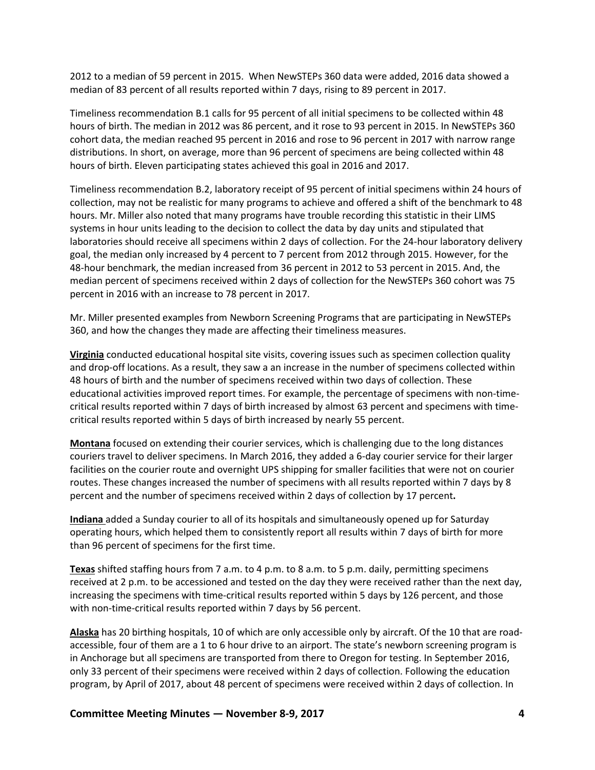2012 to a median of 59 percent in 2015. When NewSTEPs 360 data were added, 2016 data showed a median of 83 percent of all results reported within 7 days, rising to 89 percent in 2017.

Timeliness recommendation B.1 calls for 95 percent of all initial specimens to be collected within 48 hours of birth. The median in 2012 was 86 percent, and it rose to 93 percent in 2015. In NewSTEPs 360 cohort data, the median reached 95 percent in 2016 and rose to 96 percent in 2017 with narrow range distributions. In short, on average, more than 96 percent of specimens are being collected within 48 hours of birth. Eleven participating states achieved this goal in 2016 and 2017.

Timeliness recommendation B.2, laboratory receipt of 95 percent of initial specimens within 24 hours of collection, may not be realistic for many programs to achieve and offered a shift of the benchmark to 48 hours. Mr. Miller also noted that many programs have trouble recording this statistic in their LIMS systems in hour units leading to the decision to collect the data by day units and stipulated that laboratories should receive all specimens within 2 days of collection. For the 24-hour laboratory delivery goal, the median only increased by 4 percent to 7 percent from 2012 through 2015. However, for the 48-hour benchmark, the median increased from 36 percent in 2012 to 53 percent in 2015. And, the median percent of specimens received within 2 days of collection for the NewSTEPs 360 cohort was 75 percent in 2016 with an increase to 78 percent in 2017.

Mr. Miller presented examples from Newborn Screening Programs that are participating in NewSTEPs 360, and how the changes they made are affecting their timeliness measures.

**Virginia** conducted educational hospital site visits, covering issues such as specimen collection quality and drop-off locations. As a result, they saw a an increase in the number of specimens collected within 48 hours of birth and the number of specimens received within two days of collection. These educational activities improved report times. For example, the percentage of specimens with non-timecritical results reported within 7 days of birth increased by almost 63 percent and specimens with timecritical results reported within 5 days of birth increased by nearly 55 percent.

**Montana** focused on extending their courier services, which is challenging due to the long distances couriers travel to deliver specimens. In March 2016, they added a 6-day courier service for their larger facilities on the courier route and overnight UPS shipping for smaller facilities that were not on courier routes. These changes increased the number of specimens with all results reported within 7 days by 8 percent and the number of specimens received within 2 days of collection by 17 percent**.** 

**Indiana** added a Sunday courier to all of its hospitals and simultaneously opened up for Saturday operating hours, which helped them to consistently report all results within 7 days of birth for more than 96 percent of specimens for the first time.

**Texas** shifted staffing hours from 7 a.m. to 4 p.m. to 8 a.m. to 5 p.m. daily, permitting specimens received at 2 p.m. to be accessioned and tested on the day they were received rather than the next day, increasing the specimens with time-critical results reported within 5 days by 126 percent, and those with non-time-critical results reported within 7 days by 56 percent.

**Alaska** has 20 birthing hospitals, 10 of which are only accessible only by aircraft. Of the 10 that are roadaccessible, four of them are a 1 to 6 hour drive to an airport. The state's newborn screening program is in Anchorage but all specimens are transported from there to Oregon for testing. In September 2016, only 33 percent of their specimens were received within 2 days of collection. Following the education program, by April of 2017, about 48 percent of specimens were received within 2 days of collection. In

**Committee Meeting Minutes — November 8-9, 2017 4**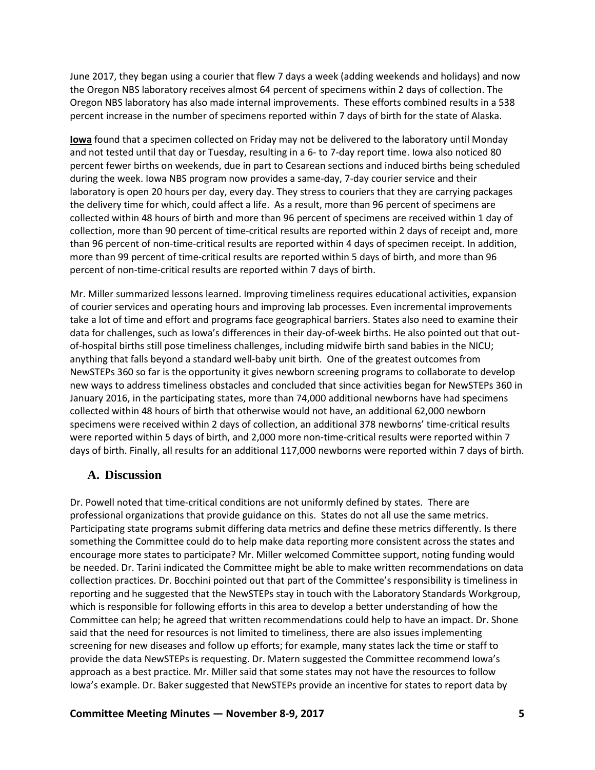June 2017, they began using a courier that flew 7 days a week (adding weekends and holidays) and now the Oregon NBS laboratory receives almost 64 percent of specimens within 2 days of collection. The Oregon NBS laboratory has also made internal improvements. These efforts combined results in a 538 percent increase in the number of specimens reported within 7 days of birth for the state of Alaska.

**Iowa** found that a specimen collected on Friday may not be delivered to the laboratory until Monday and not tested until that day or Tuesday, resulting in a 6- to 7-day report time. Iowa also noticed 80 percent fewer births on weekends, due in part to Cesarean sections and induced births being scheduled during the week. Iowa NBS program now provides a same-day, 7-day courier service and their laboratory is open 20 hours per day, every day. They stress to couriers that they are carrying packages the delivery time for which, could affect a life. As a result, more than 96 percent of specimens are collected within 48 hours of birth and more than 96 percent of specimens are received within 1 day of collection, more than 90 percent of time-critical results are reported within 2 days of receipt and, more than 96 percent of non-time-critical results are reported within 4 days of specimen receipt. In addition, more than 99 percent of time-critical results are reported within 5 days of birth, and more than 96 percent of non-time-critical results are reported within 7 days of birth.

Mr. Miller summarized lessons learned. Improving timeliness requires educational activities, expansion of courier services and operating hours and improving lab processes. Even incremental improvements take a lot of time and effort and programs face geographical barriers. States also need to examine their data for challenges, such as Iowa's differences in their day-of-week births. He also pointed out that outof-hospital births still pose timeliness challenges, including midwife birth sand babies in the NICU; anything that falls beyond a standard well-baby unit birth. One of the greatest outcomes from NewSTEPs 360 so far is the opportunity it gives newborn screening programs to collaborate to develop new ways to address timeliness obstacles and concluded that since activities began for NewSTEPs 360 in January 2016, in the participating states, more than 74,000 additional newborns have had specimens collected within 48 hours of birth that otherwise would not have, an additional 62,000 newborn specimens were received within 2 days of collection, an additional 378 newborns' time-critical results were reported within 5 days of birth, and 2,000 more non-time-critical results were reported within 7 days of birth. Finally, all results for an additional 117,000 newborns were reported within 7 days of birth.

## <span id="page-8-0"></span>**A. Discussion**

Dr. Powell noted that time-critical conditions are not uniformly defined by states. There are professional organizations that provide guidance on this. States do not all use the same metrics. Participating state programs submit differing data metrics and define these metrics differently. Is there something the Committee could do to help make data reporting more consistent across the states and encourage more states to participate? Mr. Miller welcomed Committee support, noting funding would be needed. Dr. Tarini indicated the Committee might be able to make written recommendations on data collection practices. Dr. Bocchini pointed out that part of the Committee's responsibility is timeliness in reporting and he suggested that the NewSTEPs stay in touch with the Laboratory Standards Workgroup, which is responsible for following efforts in this area to develop a better understanding of how the Committee can help; he agreed that written recommendations could help to have an impact. Dr. Shone said that the need for resources is not limited to timeliness, there are also issues implementing screening for new diseases and follow up efforts; for example, many states lack the time or staff to provide the data NewSTEPs is requesting. Dr. Matern suggested the Committee recommend Iowa's approach as a best practice. Mr. Miller said that some states may not have the resources to follow Iowa's example. Dr. Baker suggested that NewSTEPs provide an incentive for states to report data by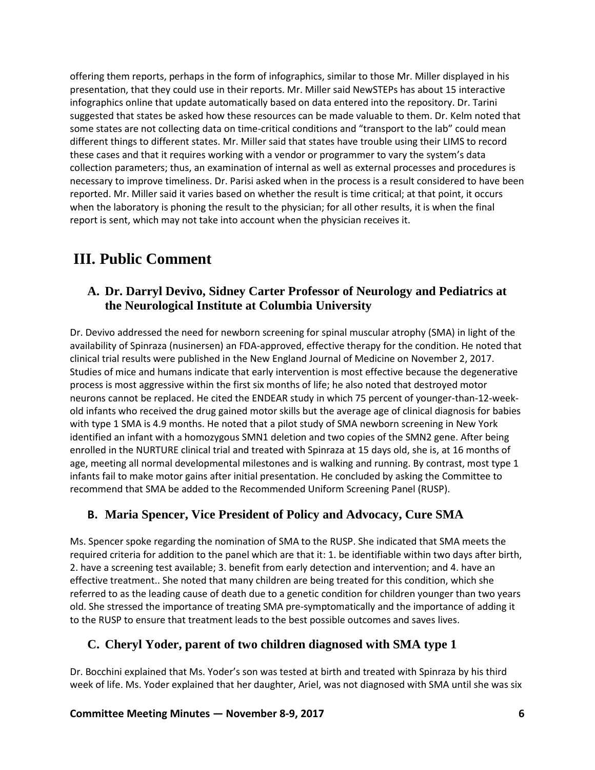offering them reports, perhaps in the form of infographics, similar to those Mr. Miller displayed in his presentation, that they could use in their reports. Mr. Miller said NewSTEPs has about 15 interactive infographics online that update automatically based on data entered into the repository. Dr. Tarini suggested that states be asked how these resources can be made valuable to them. Dr. Kelm noted that some states are not collecting data on time-critical conditions and "transport to the lab" could mean different things to different states. Mr. Miller said that states have trouble using their LIMS to record these cases and that it requires working with a vendor or programmer to vary the system's data collection parameters; thus, an examination of internal as well as external processes and procedures is necessary to improve timeliness. Dr. Parisi asked when in the process is a result considered to have been reported. Mr. Miller said it varies based on whether the result is time critical; at that point, it occurs when the laboratory is phoning the result to the physician; for all other results, it is when the final report is sent, which may not take into account when the physician receives it.

## <span id="page-9-0"></span>**III. Public Comment**

## **A. Dr. Darryl Devivo, Sidney Carter Professor of Neurology and Pediatrics at the Neurological Institute at Columbia University**

Dr. Devivo addressed the need for newborn screening for spinal muscular atrophy (SMA) in light of the availability of Spinraza (nusinersen) an FDA-approved, effective therapy for the condition. He noted that clinical trial results were published in the New England Journal of Medicine on November 2, 2017. Studies of mice and humans indicate that early intervention is most effective because the degenerative process is most aggressive within the first six months of life; he also noted that destroyed motor neurons cannot be replaced. He cited the ENDEAR study in which 75 percent of younger-than-12-weekold infants who received the drug gained motor skills but the average age of clinical diagnosis for babies with type 1 SMA is 4.9 months. He noted that a pilot study of SMA newborn screening in New York identified an infant with a homozygous SMN1 deletion and two copies of the SMN2 gene. After being enrolled in the NURTURE clinical trial and treated with Spinraza at 15 days old, she is, at 16 months of age, meeting all normal developmental milestones and is walking and running. By contrast, most type 1 infants fail to make motor gains after initial presentation. He concluded by asking the Committee to recommend that SMA be added to the Recommended Uniform Screening Panel (RUSP).

## **B. Maria Spencer, Vice President of Policy and Advocacy, Cure SMA**

Ms. Spencer spoke regarding the nomination of SMA to the RUSP. She indicated that SMA meets the required criteria for addition to the panel which are that it: 1. be identifiable within two days after birth, 2. have a screening test available; 3. benefit from early detection and intervention; and 4. have an effective treatment.. She noted that many children are being treated for this condition, which she referred to as the leading cause of death due to a genetic condition for children younger than two years old. She stressed the importance of treating SMA pre-symptomatically and the importance of adding it to the RUSP to ensure that treatment leads to the best possible outcomes and saves lives.

## **C. Cheryl Yoder, parent of two children diagnosed with SMA type 1**

Dr. Bocchini explained that Ms. Yoder's son was tested at birth and treated with Spinraza by his third week of life. Ms. Yoder explained that her daughter, Ariel, was not diagnosed with SMA until she was six

### **Committee Meeting Minutes — November 8-9, 2017 6**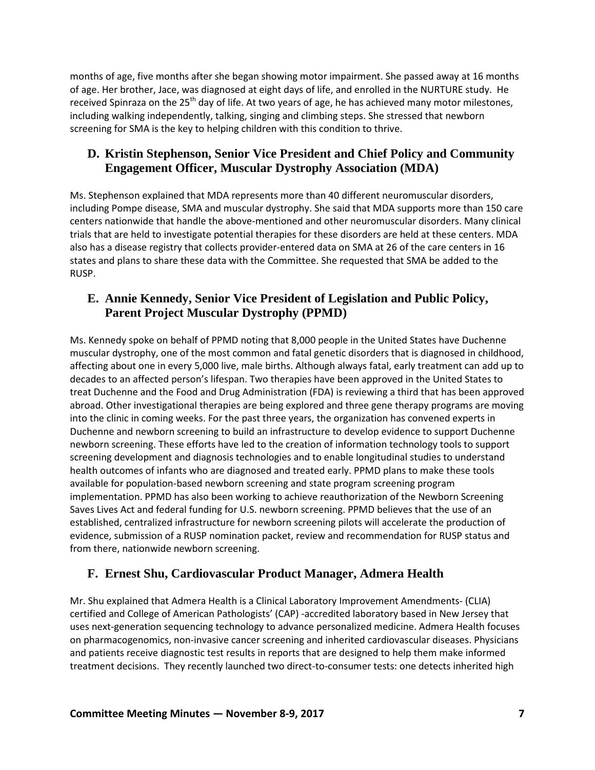months of age, five months after she began showing motor impairment. She passed away at 16 months of age. Her brother, Jace, was diagnosed at eight days of life, and enrolled in the NURTURE study. He received Spinraza on the 25<sup>th</sup> day of life. At two years of age, he has achieved many motor milestones, including walking independently, talking, singing and climbing steps. She stressed that newborn screening for SMA is the key to helping children with this condition to thrive.

## **D. Kristin Stephenson, Senior Vice President and Chief Policy and Community Engagement Officer, Muscular Dystrophy Association (MDA)**

Ms. Stephenson explained that MDA represents more than 40 different neuromuscular disorders, including Pompe disease, SMA and muscular dystrophy. She said that MDA supports more than 150 care centers nationwide that handle the above-mentioned and other neuromuscular disorders. Many clinical trials that are held to investigate potential therapies for these disorders are held at these centers. MDA also has a disease registry that collects provider-entered data on SMA at 26 of the care centers in 16 states and plans to share these data with the Committee. She requested that SMA be added to the RUSP.

## **E. Annie Kennedy, Senior Vice President of Legislation and Public Policy, Parent Project Muscular Dystrophy (PPMD)**

Ms. Kennedy spoke on behalf of PPMD noting that 8,000 people in the United States have Duchenne muscular dystrophy, one of the most common and fatal genetic disorders that is diagnosed in childhood, affecting about one in every 5,000 live, male births. Although always fatal, early treatment can add up to decades to an affected person's lifespan. Two therapies have been approved in the United States to treat Duchenne and the Food and Drug Administration (FDA) is reviewing a third that has been approved abroad. Other investigational therapies are being explored and three gene therapy programs are moving into the clinic in coming weeks. For the past three years, the organization has convened experts in Duchenne and newborn screening to build an infrastructure to develop evidence to support Duchenne newborn screening. These efforts have led to the creation of information technology tools to support screening development and diagnosis technologies and to enable longitudinal studies to understand health outcomes of infants who are diagnosed and treated early. PPMD plans to make these tools available for population-based newborn screening and state program screening program implementation. PPMD has also been working to achieve reauthorization of the Newborn Screening Saves Lives Act and federal funding for U.S. newborn screening. PPMD believes that the use of an established, centralized infrastructure for newborn screening pilots will accelerate the production of evidence, submission of a RUSP nomination packet, review and recommendation for RUSP status and from there, nationwide newborn screening.

## **F. Ernest Shu, Cardiovascular Product Manager, Admera Health**

Mr. Shu explained that Admera Health is a Clinical Laboratory Improvement Amendments- (CLIA) certified and College of American Pathologists' (CAP) -accredited laboratory based in New Jersey that uses next-generation sequencing technology to advance personalized medicine. Admera Health focuses on pharmacogenomics, non-invasive cancer screening and inherited cardiovascular diseases. Physicians and patients receive diagnostic test results in reports that are designed to help them make informed treatment decisions. They recently launched two direct-to-consumer tests: one detects inherited high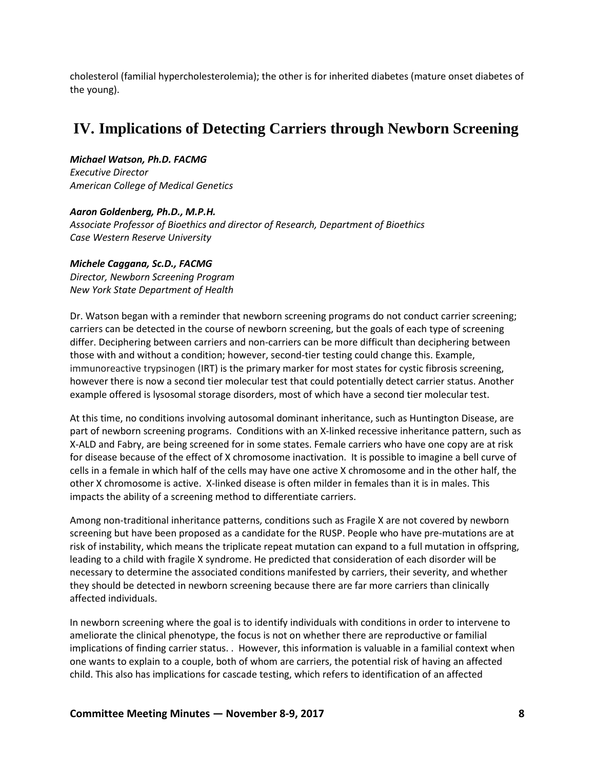<span id="page-11-0"></span>cholesterol (familial hypercholesterolemia); the other is for inherited diabetes (mature onset diabetes of the young).

# **IV. Implications of Detecting Carriers through Newborn Screening**

*Michael Watson, Ph.D. FACMG Executive Director American College of Medical Genetics*

*Aaron Goldenberg, Ph.D., M.P.H. Associate Professor of Bioethics and director of Research, Department of Bioethics Case Western Reserve University*

### *Michele Caggana, Sc.D., FACMG*

*Director, Newborn Screening Program New York State Department of Health*

Dr. Watson began with a reminder that newborn screening programs do not conduct carrier screening; carriers can be detected in the course of newborn screening, but the goals of each type of screening differ. Deciphering between carriers and non-carriers can be more difficult than deciphering between those with and without a condition; however, second-tier testing could change this. Example, immunoreactive trypsinogen (IRT) is the primary marker for most states for cystic fibrosis screening, however there is now a second tier molecular test that could potentially detect carrier status. Another example offered is lysosomal storage disorders, most of which have a second tier molecular test.

At this time, no conditions involving autosomal dominant inheritance, such as Huntington Disease, are part of newborn screening programs. Conditions with an X-linked recessive inheritance pattern, such as X-ALD and Fabry, are being screened for in some states. Female carriers who have one copy are at risk for disease because of the effect of X chromosome inactivation. It is possible to imagine a bell curve of cells in a female in which half of the cells may have one active X chromosome and in the other half, the other X chromosome is active. X-linked disease is often milder in females than it is in males. This impacts the ability of a screening method to differentiate carriers.

Among non-traditional inheritance patterns, conditions such as Fragile X are not covered by newborn screening but have been proposed as a candidate for the RUSP. People who have pre-mutations are at risk of instability, which means the triplicate repeat mutation can expand to a full mutation in offspring, leading to a child with fragile X syndrome. He predicted that consideration of each disorder will be necessary to determine the associated conditions manifested by carriers, their severity, and whether they should be detected in newborn screening because there are far more carriers than clinically affected individuals.

In newborn screening where the goal is to identify individuals with conditions in order to intervene to ameliorate the clinical phenotype, the focus is not on whether there are reproductive or familial implications of finding carrier status. . However, this information is valuable in a familial context when one wants to explain to a couple, both of whom are carriers, the potential risk of having an affected child. This also has implications for cascade testing, which refers to identification of an affected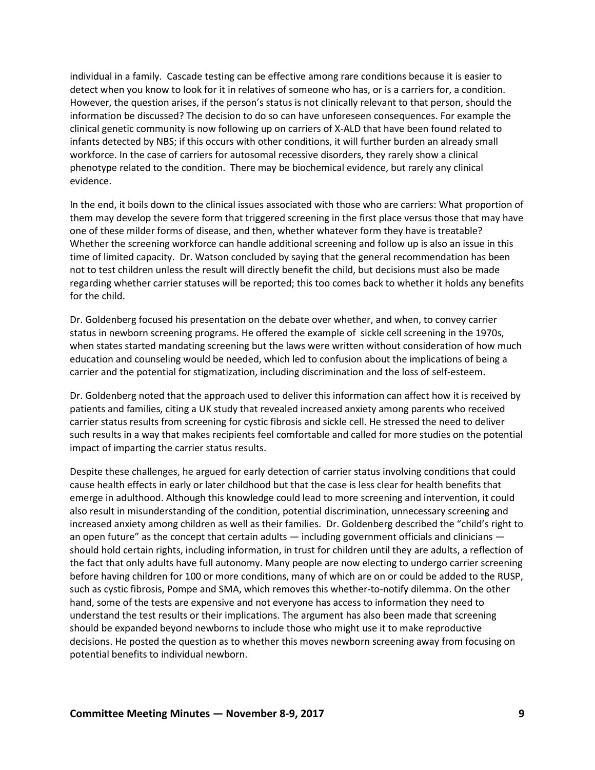individual in a family. Cascade testing can be effective among rare conditions because it is easier to detect when you know to look for it in relatives of someone who has, or is a carriers for, a condition. However, the question arises, if the person's status is not clinically relevant to that person, should the information be discussed? The decision to do so can have unforeseen consequences. For example the clinical genetic community is now following up on carriers of X-ALD that have been found related to infants detected by NBS; if this occurs with other conditions, it will further burden an already small workforce. In the case of carriers for autosomal recessive disorders, they rarely show a clinical phenotype related to the condition. There may be biochemical evidence, but rarely any clinical evidence.

In the end, it boils down to the clinical issues associated with those who are carriers: What proportion of them may develop the severe form that triggered screening in the first place versus those that may have one of these milder forms of disease, and then, whether whatever form they have is treatable? Whether the screening workforce can handle additional screening and follow up is also an issue in this time of limited capacity. Dr. Watson concluded by saying that the general recommendation has been not to test children unless the result will directly benefit the child, but decisions must also be made regarding whether carrier statuses will be reported; this too comes back to whether it holds any benefits for the child.

Dr. Goldenberg focused his presentation on the debate over whether, and when, to convey carrier status in newborn screening programs. He offered the example of sickle cell screening in the 1970s, when states started mandating screening but the laws were written without consideration of how much education and counseling would be needed, which led to confusion about the implications of being a carrier and the potential for stigmatization, including discrimination and the loss of self-esteem.

Dr. Goldenberg noted that the approach used to deliver this information can affect how it is received by patients and families, citing a UK study that revealed increased anxiety among parents who received carrier status results from screening for cystic fibrosis and sickle cell. He stressed the need to deliver such results in a way that makes recipients feel comfortable and called for more studies on the potential impact of imparting the carrier status results.

Despite these challenges, he argued for early detection of carrier status involving conditions that could cause health effects in early or later childhood but that the case is less clear for health benefits that emerge in adulthood. Although this knowledge could lead to more screening and intervention, it could also result in misunderstanding of the condition, potential discrimination, unnecessary screening and increased anxiety among children as well as their families. Dr. Goldenberg described the "child's right to an open future" as the concept that certain adults — including government officials and clinicians should hold certain rights, including information, in trust for children until they are adults, a reflection of the fact that only adults have full autonomy. Many people are now electing to undergo carrier screening before having children for 100 or more conditions, many of which are on or could be added to the RUSP, such as cystic fibrosis, Pompe and SMA, which removes this whether-to-notify dilemma. On the other hand, some of the tests are expensive and not everyone has access to information they need to understand the test results or their implications. The argument has also been made that screening should be expanded beyond newborns to include those who might use it to make reproductive decisions. He posted the question as to whether this moves newborn screening away from focusing on potential benefits to individual newborn.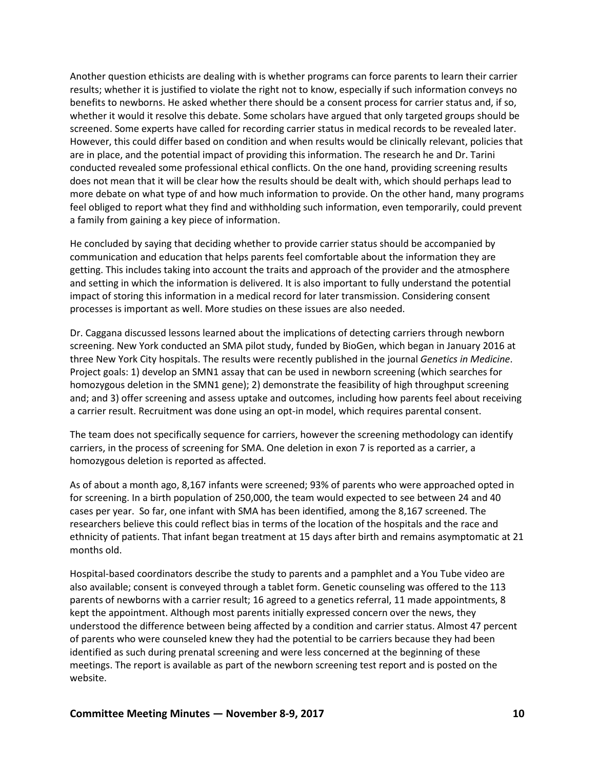Another question ethicists are dealing with is whether programs can force parents to learn their carrier results; whether it is justified to violate the right not to know, especially if such information conveys no benefits to newborns. He asked whether there should be a consent process for carrier status and, if so, whether it would it resolve this debate. Some scholars have argued that only targeted groups should be screened. Some experts have called for recording carrier status in medical records to be revealed later. However, this could differ based on condition and when results would be clinically relevant, policies that are in place, and the potential impact of providing this information. The research he and Dr. Tarini conducted revealed some professional ethical conflicts. On the one hand, providing screening results does not mean that it will be clear how the results should be dealt with, which should perhaps lead to more debate on what type of and how much information to provide. On the other hand, many programs feel obliged to report what they find and withholding such information, even temporarily, could prevent a family from gaining a key piece of information.

He concluded by saying that deciding whether to provide carrier status should be accompanied by communication and education that helps parents feel comfortable about the information they are getting. This includes taking into account the traits and approach of the provider and the atmosphere and setting in which the information is delivered. It is also important to fully understand the potential impact of storing this information in a medical record for later transmission. Considering consent processes is important as well. More studies on these issues are also needed.

Dr. Caggana discussed lessons learned about the implications of detecting carriers through newborn screening. New York conducted an SMA pilot study, funded by BioGen, which began in January 2016 at three New York City hospitals. The results were recently published in the journal *Genetics in Medicine*. Project goals: 1) develop an SMN1 assay that can be used in newborn screening (which searches for homozygous deletion in the SMN1 gene); 2) demonstrate the feasibility of high throughput screening and; and 3) offer screening and assess uptake and outcomes, including how parents feel about receiving a carrier result. Recruitment was done using an opt-in model, which requires parental consent.

The team does not specifically sequence for carriers, however the screening methodology can identify carriers, in the process of screening for SMA. One deletion in exon 7 is reported as a carrier, a homozygous deletion is reported as affected.

As of about a month ago, 8,167 infants were screened; 93% of parents who were approached opted in for screening. In a birth population of 250,000, the team would expected to see between 24 and 40 cases per year. So far, one infant with SMA has been identified, among the 8,167 screened. The researchers believe this could reflect bias in terms of the location of the hospitals and the race and ethnicity of patients. That infant began treatment at 15 days after birth and remains asymptomatic at 21 months old.

Hospital-based coordinators describe the study to parents and a pamphlet and a You Tube video are also available; consent is conveyed through a tablet form. Genetic counseling was offered to the 113 parents of newborns with a carrier result; 16 agreed to a genetics referral, 11 made appointments, 8 kept the appointment. Although most parents initially expressed concern over the news, they understood the difference between being affected by a condition and carrier status. Almost 47 percent of parents who were counseled knew they had the potential to be carriers because they had been identified as such during prenatal screening and were less concerned at the beginning of these meetings. The report is available as part of the newborn screening test report and is posted on the website.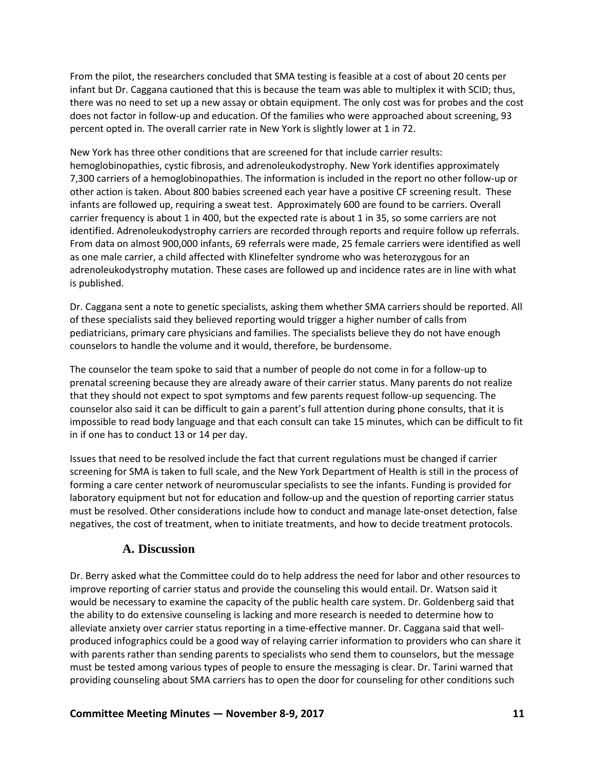From the pilot, the researchers concluded that SMA testing is feasible at a cost of about 20 cents per infant but Dr. Caggana cautioned that this is because the team was able to multiplex it with SCID; thus, there was no need to set up a new assay or obtain equipment. The only cost was for probes and the cost does not factor in follow-up and education. Of the families who were approached about screening, 93 percent opted in. The overall carrier rate in New York is slightly lower at 1 in 72.

New York has three other conditions that are screened for that include carrier results: hemoglobinopathies, cystic fibrosis, and adrenoleukodystrophy. New York identifies approximately 7,300 carriers of a hemoglobinopathies. The information is included in the report no other follow-up or other action is taken. About 800 babies screened each year have a positive CF screening result. These infants are followed up, requiring a sweat test. Approximately 600 are found to be carriers. Overall carrier frequency is about 1 in 400, but the expected rate is about 1 in 35, so some carriers are not identified. Adrenoleukodystrophy carriers are recorded through reports and require follow up referrals. From data on almost 900,000 infants, 69 referrals were made, 25 female carriers were identified as well as one male carrier, a child affected with Klinefelter syndrome who was heterozygous for an adrenoleukodystrophy mutation. These cases are followed up and incidence rates are in line with what is published.

Dr. Caggana sent a note to genetic specialists, asking them whether SMA carriers should be reported. All of these specialists said they believed reporting would trigger a higher number of calls from pediatricians, primary care physicians and families. The specialists believe they do not have enough counselors to handle the volume and it would, therefore, be burdensome.

The counselor the team spoke to said that a number of people do not come in for a follow-up to prenatal screening because they are already aware of their carrier status. Many parents do not realize that they should not expect to spot symptoms and few parents request follow-up sequencing. The counselor also said it can be difficult to gain a parent's full attention during phone consults, that it is impossible to read body language and that each consult can take 15 minutes, which can be difficult to fit in if one has to conduct 13 or 14 per day.

Issues that need to be resolved include the fact that current regulations must be changed if carrier screening for SMA is taken to full scale, and the New York Department of Health is still in the process of forming a care center network of neuromuscular specialists to see the infants. Funding is provided for laboratory equipment but not for education and follow-up and the question of reporting carrier status must be resolved. Other considerations include how to conduct and manage late-onset detection, false negatives, the cost of treatment, when to initiate treatments, and how to decide treatment protocols.

## **A. Discussion**

<span id="page-14-0"></span>Dr. Berry asked what the Committee could do to help address the need for labor and other resources to improve reporting of carrier status and provide the counseling this would entail. Dr. Watson said it would be necessary to examine the capacity of the public health care system. Dr. Goldenberg said that the ability to do extensive counseling is lacking and more research is needed to determine how to alleviate anxiety over carrier status reporting in a time-effective manner. Dr. Caggana said that wellproduced infographics could be a good way of relaying carrier information to providers who can share it with parents rather than sending parents to specialists who send them to counselors, but the message must be tested among various types of people to ensure the messaging is clear. Dr. Tarini warned that providing counseling about SMA carriers has to open the door for counseling for other conditions such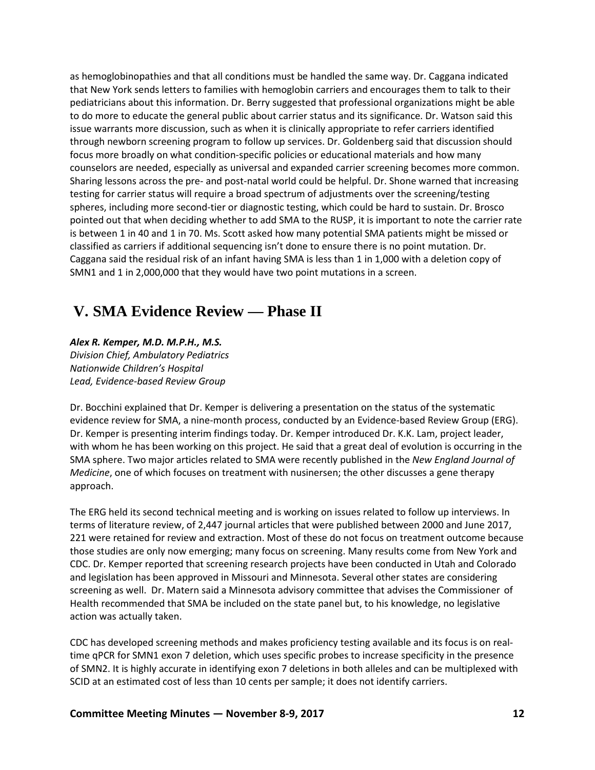as hemoglobinopathies and that all conditions must be handled the same way. Dr. Caggana indicated that New York sends letters to families with hemoglobin carriers and encourages them to talk to their pediatricians about this information. Dr. Berry suggested that professional organizations might be able to do more to educate the general public about carrier status and its significance. Dr. Watson said this issue warrants more discussion, such as when it is clinically appropriate to refer carriers identified through newborn screening program to follow up services. Dr. Goldenberg said that discussion should focus more broadly on what condition-specific policies or educational materials and how many counselors are needed, especially as universal and expanded carrier screening becomes more common. Sharing lessons across the pre- and post-natal world could be helpful. Dr. Shone warned that increasing testing for carrier status will require a broad spectrum of adjustments over the screening/testing spheres, including more second-tier or diagnostic testing, which could be hard to sustain. Dr. Brosco pointed out that when deciding whether to add SMA to the RUSP, it is important to note the carrier rate is between 1 in 40 and 1 in 70. Ms. Scott asked how many potential SMA patients might be missed or classified as carriers if additional sequencing isn't done to ensure there is no point mutation. Dr. Caggana said the residual risk of an infant having SMA is less than 1 in 1,000 with a deletion copy of SMN1 and 1 in 2,000,000 that they would have two point mutations in a screen.

## <span id="page-15-0"></span>**V. SMA Evidence Review — Phase II**

### *Alex R. Kemper, M.D. M.P.H., M.S.*

*Division Chief, Ambulatory Pediatrics Nationwide Children's Hospital Lead, Evidence-based Review Group*

Dr. Bocchini explained that Dr. Kemper is delivering a presentation on the status of the systematic evidence review for SMA, a nine-month process, conducted by an Evidence-based Review Group (ERG). Dr. Kemper is presenting interim findings today. Dr. Kemper introduced Dr. K.K. Lam, project leader, with whom he has been working on this project. He said that a great deal of evolution is occurring in the SMA sphere. Two major articles related to SMA were recently published in the *New England Journal of Medicine*, one of which focuses on treatment with nusinersen; the other discusses a gene therapy approach.

The ERG held its second technical meeting and is working on issues related to follow up interviews. In terms of literature review, of 2,447 journal articles that were published between 2000 and June 2017, 221 were retained for review and extraction. Most of these do not focus on treatment outcome because those studies are only now emerging; many focus on screening. Many results come from New York and CDC. Dr. Kemper reported that screening research projects have been conducted in Utah and Colorado and legislation has been approved in Missouri and Minnesota. Several other states are considering screening as well. Dr. Matern said a Minnesota advisory committee that advises the Commissioner of Health recommended that SMA be included on the state panel but, to his knowledge, no legislative action was actually taken.

CDC has developed screening methods and makes proficiency testing available and its focus is on realtime qPCR for SMN1 exon 7 deletion, which uses specific probes to increase specificity in the presence of SMN2. It is highly accurate in identifying exon 7 deletions in both alleles and can be multiplexed with SCID at an estimated cost of less than 10 cents per sample; it does not identify carriers.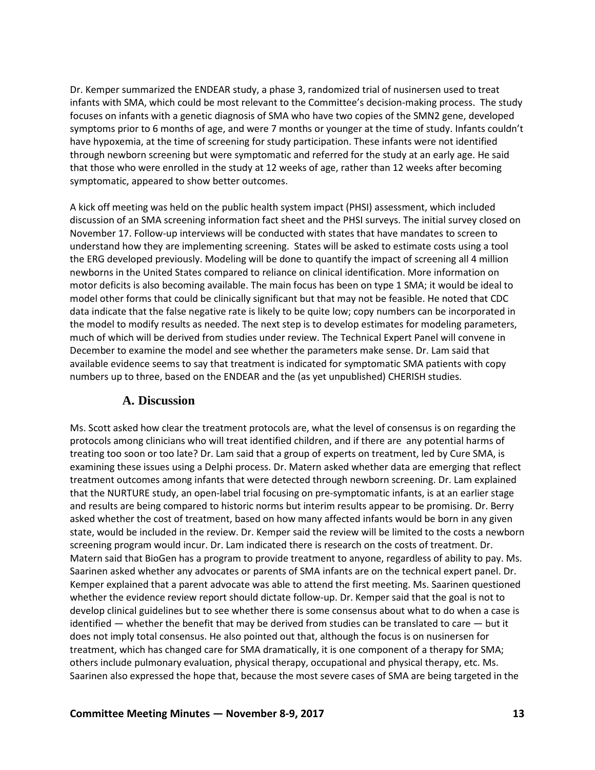Dr. Kemper summarized the ENDEAR study, a phase 3, randomized trial of nusinersen used to treat infants with SMA, which could be most relevant to the Committee's decision-making process. The study focuses on infants with a genetic diagnosis of SMA who have two copies of the SMN2 gene, developed symptoms prior to 6 months of age, and were 7 months or younger at the time of study. Infants couldn't have hypoxemia, at the time of screening for study participation. These infants were not identified through newborn screening but were symptomatic and referred for the study at an early age. He said that those who were enrolled in the study at 12 weeks of age, rather than 12 weeks after becoming symptomatic, appeared to show better outcomes.

A kick off meeting was held on the public health system impact (PHSI) assessment, which included discussion of an SMA screening information fact sheet and the PHSI surveys. The initial survey closed on November 17. Follow-up interviews will be conducted with states that have mandates to screen to understand how they are implementing screening. States will be asked to estimate costs using a tool the ERG developed previously. Modeling will be done to quantify the impact of screening all 4 million newborns in the United States compared to reliance on clinical identification. More information on motor deficits is also becoming available. The main focus has been on type 1 SMA; it would be ideal to model other forms that could be clinically significant but that may not be feasible. He noted that CDC data indicate that the false negative rate is likely to be quite low; copy numbers can be incorporated in the model to modify results as needed. The next step is to develop estimates for modeling parameters, much of which will be derived from studies under review. The Technical Expert Panel will convene in December to examine the model and see whether the parameters make sense. Dr. Lam said that available evidence seems to say that treatment is indicated for symptomatic SMA patients with copy numbers up to three, based on the ENDEAR and the (as yet unpublished) CHERISH studies.

## **A. Discussion**

<span id="page-16-0"></span>Ms. Scott asked how clear the treatment protocols are, what the level of consensus is on regarding the protocols among clinicians who will treat identified children, and if there are any potential harms of treating too soon or too late? Dr. Lam said that a group of experts on treatment, led by Cure SMA, is examining these issues using a Delphi process. Dr. Matern asked whether data are emerging that reflect treatment outcomes among infants that were detected through newborn screening. Dr. Lam explained that the NURTURE study, an open-label trial focusing on pre-symptomatic infants, is at an earlier stage and results are being compared to historic norms but interim results appear to be promising. Dr. Berry asked whether the cost of treatment, based on how many affected infants would be born in any given state, would be included in the review. Dr. Kemper said the review will be limited to the costs a newborn screening program would incur. Dr. Lam indicated there is research on the costs of treatment. Dr. Matern said that BioGen has a program to provide treatment to anyone, regardless of ability to pay. Ms. Saarinen asked whether any advocates or parents of SMA infants are on the technical expert panel. Dr. Kemper explained that a parent advocate was able to attend the first meeting. Ms. Saarinen questioned whether the evidence review report should dictate follow-up. Dr. Kemper said that the goal is not to develop clinical guidelines but to see whether there is some consensus about what to do when a case is identified  $-$  whether the benefit that may be derived from studies can be translated to care  $-$  but it does not imply total consensus. He also pointed out that, although the focus is on nusinersen for treatment, which has changed care for SMA dramatically, it is one component of a therapy for SMA; others include pulmonary evaluation, physical therapy, occupational and physical therapy, etc. Ms. Saarinen also expressed the hope that, because the most severe cases of SMA are being targeted in the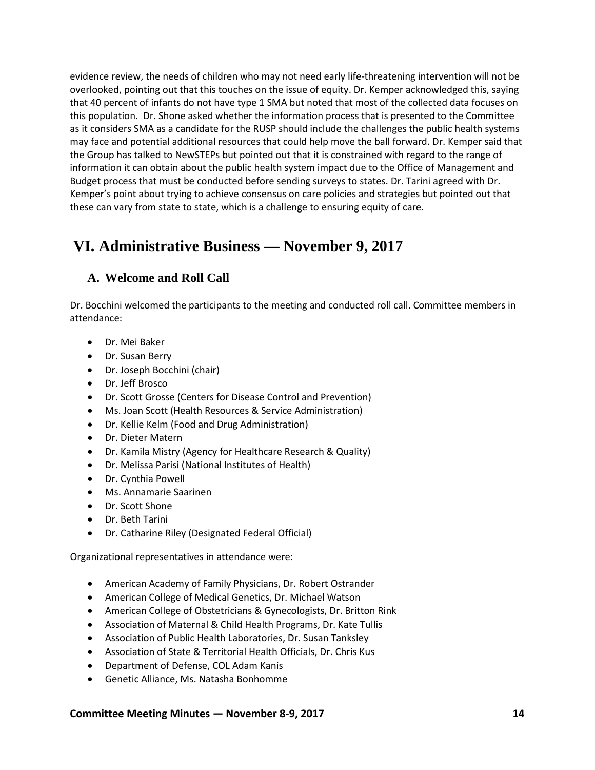evidence review, the needs of children who may not need early life-threatening intervention will not be overlooked, pointing out that this touches on the issue of equity. Dr. Kemper acknowledged this, saying that 40 percent of infants do not have type 1 SMA but noted that most of the collected data focuses on this population. Dr. Shone asked whether the information process that is presented to the Committee as it considers SMA as a candidate for the RUSP should include the challenges the public health systems may face and potential additional resources that could help move the ball forward. Dr. Kemper said that the Group has talked to NewSTEPs but pointed out that it is constrained with regard to the range of information it can obtain about the public health system impact due to the Office of Management and Budget process that must be conducted before sending surveys to states. Dr. Tarini agreed with Dr. Kemper's point about trying to achieve consensus on care policies and strategies but pointed out that these can vary from state to state, which is a challenge to ensuring equity of care.

# <span id="page-17-0"></span>**VI. Administrative Business — November 9, 2017**

## <span id="page-17-1"></span>**A. Welcome and Roll Call**

Dr. Bocchini welcomed the participants to the meeting and conducted roll call. Committee members in attendance:

- Dr. Mei Baker
- Dr. Susan Berry
- Dr. Joseph Bocchini (chair)
- Dr. Jeff Brosco
- Dr. Scott Grosse (Centers for Disease Control and Prevention)
- Ms. Joan Scott (Health Resources & Service Administration)
- Dr. Kellie Kelm (Food and Drug Administration)
- Dr. Dieter Matern
- Dr. Kamila Mistry (Agency for Healthcare Research & Quality)
- Dr. Melissa Parisi (National Institutes of Health)
- Dr. Cynthia Powell
- Ms. Annamarie Saarinen
- Dr. Scott Shone
- Dr. Beth Tarini
- Dr. Catharine Riley (Designated Federal Official)

Organizational representatives in attendance were:

- American Academy of Family Physicians, Dr. Robert Ostrander
- American College of Medical Genetics, Dr. Michael Watson
- American College of Obstetricians & Gynecologists, Dr. Britton Rink
- Association of Maternal & Child Health Programs, Dr. Kate Tullis
- Association of Public Health Laboratories, Dr. Susan Tanksley
- Association of State & Territorial Health Officials, Dr. Chris Kus
- Department of Defense, COL Adam Kanis
- Genetic Alliance, Ms. Natasha Bonhomme

**Committee Meeting Minutes — November 8-9, 2017 14**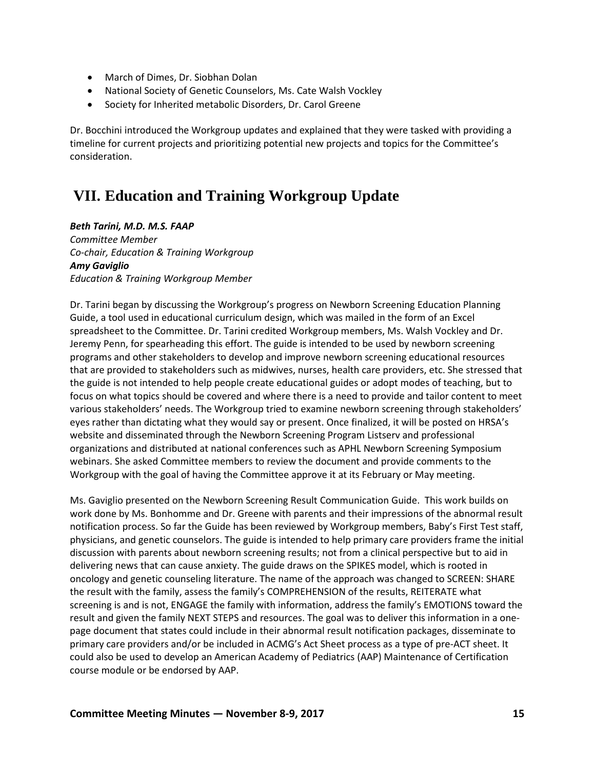- March of Dimes, Dr. Siobhan Dolan
- National Society of Genetic Counselors, Ms. Cate Walsh Vockley
- Society for Inherited metabolic Disorders, Dr. Carol Greene

Dr. Bocchini introduced the Workgroup updates and explained that they were tasked with providing a timeline for current projects and prioritizing potential new projects and topics for the Committee's consideration.

# <span id="page-18-0"></span>**VII. Education and Training Workgroup Update**

*Beth Tarini, M.D. M.S. FAAP Committee Member Co-chair, Education & Training Workgroup*

*Amy Gaviglio Education & Training Workgroup Member*

Dr. Tarini began by discussing the Workgroup's progress on Newborn Screening Education Planning Guide, a tool used in educational curriculum design, which was mailed in the form of an Excel spreadsheet to the Committee. Dr. Tarini credited Workgroup members, Ms. Walsh Vockley and Dr. Jeremy Penn, for spearheading this effort. The guide is intended to be used by newborn screening programs and other stakeholders to develop and improve newborn screening educational resources that are provided to stakeholders such as midwives, nurses, health care providers, etc. She stressed that the guide is not intended to help people create educational guides or adopt modes of teaching, but to focus on what topics should be covered and where there is a need to provide and tailor content to meet various stakeholders' needs. The Workgroup tried to examine newborn screening through stakeholders' eyes rather than dictating what they would say or present. Once finalized, it will be posted on HRSA's website and disseminated through the Newborn Screening Program Listserv and professional organizations and distributed at national conferences such as APHL Newborn Screening Symposium webinars. She asked Committee members to review the document and provide comments to the Workgroup with the goal of having the Committee approve it at its February or May meeting.

Ms. Gaviglio presented on the Newborn Screening Result Communication Guide. This work builds on work done by Ms. Bonhomme and Dr. Greene with parents and their impressions of the abnormal result notification process. So far the Guide has been reviewed by Workgroup members, Baby's First Test staff, physicians, and genetic counselors. The guide is intended to help primary care providers frame the initial discussion with parents about newborn screening results; not from a clinical perspective but to aid in delivering news that can cause anxiety. The guide draws on the SPIKES model, which is rooted in oncology and genetic counseling literature. The name of the approach was changed to SCREEN: SHARE the result with the family, assess the family's COMPREHENSION of the results, REITERATE what screening is and is not, ENGAGE the family with information, address the family's EMOTIONS toward the result and given the family NEXT STEPS and resources. The goal was to deliver this information in a onepage document that states could include in their abnormal result notification packages, disseminate to primary care providers and/or be included in ACMG's Act Sheet process as a type of pre-ACT sheet. It could also be used to develop an American Academy of Pediatrics (AAP) Maintenance of Certification course module or be endorsed by AAP.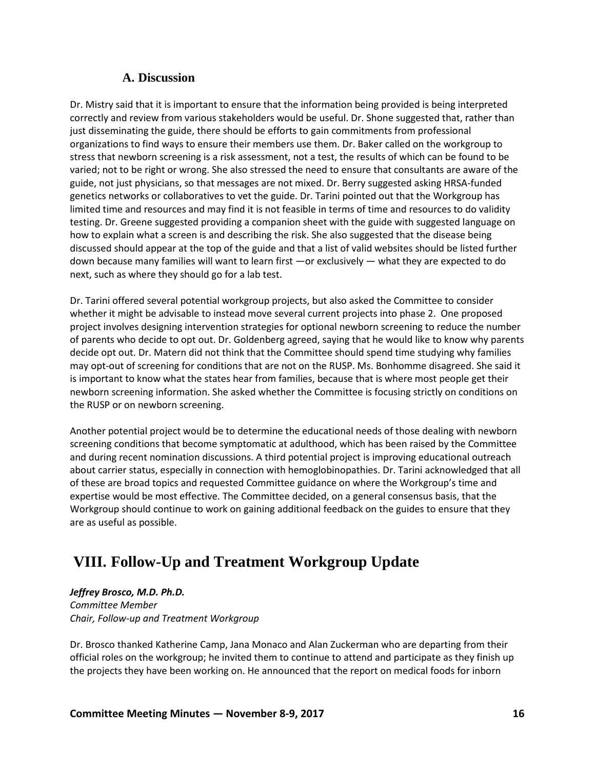## **A. Discussion**

<span id="page-19-0"></span>Dr. Mistry said that it is important to ensure that the information being provided is being interpreted correctly and review from various stakeholders would be useful. Dr. Shone suggested that, rather than just disseminating the guide, there should be efforts to gain commitments from professional organizations to find ways to ensure their members use them. Dr. Baker called on the workgroup to stress that newborn screening is a risk assessment, not a test, the results of which can be found to be varied; not to be right or wrong. She also stressed the need to ensure that consultants are aware of the guide, not just physicians, so that messages are not mixed. Dr. Berry suggested asking HRSA-funded genetics networks or collaboratives to vet the guide. Dr. Tarini pointed out that the Workgroup has limited time and resources and may find it is not feasible in terms of time and resources to do validity testing. Dr. Greene suggested providing a companion sheet with the guide with suggested language on how to explain what a screen is and describing the risk. She also suggested that the disease being discussed should appear at the top of the guide and that a list of valid websites should be listed further down because many families will want to learn first —or exclusively — what they are expected to do next, such as where they should go for a lab test.

Dr. Tarini offered several potential workgroup projects, but also asked the Committee to consider whether it might be advisable to instead move several current projects into phase 2. One proposed project involves designing intervention strategies for optional newborn screening to reduce the number of parents who decide to opt out. Dr. Goldenberg agreed, saying that he would like to know why parents decide opt out. Dr. Matern did not think that the Committee should spend time studying why families may opt-out of screening for conditions that are not on the RUSP. Ms. Bonhomme disagreed. She said it is important to know what the states hear from families, because that is where most people get their newborn screening information. She asked whether the Committee is focusing strictly on conditions on the RUSP or on newborn screening.

Another potential project would be to determine the educational needs of those dealing with newborn screening conditions that become symptomatic at adulthood, which has been raised by the Committee and during recent nomination discussions. A third potential project is improving educational outreach about carrier status, especially in connection with hemoglobinopathies. Dr. Tarini acknowledged that all of these are broad topics and requested Committee guidance on where the Workgroup's time and expertise would be most effective. The Committee decided, on a general consensus basis, that the Workgroup should continue to work on gaining additional feedback on the guides to ensure that they are as useful as possible.

# <span id="page-19-1"></span>**VIII. Follow-Up and Treatment Workgroup Update**

## *Jeffrey Brosco, M.D. Ph.D.*

*Committee Member Chair, Follow-up and Treatment Workgroup*

Dr. Brosco thanked Katherine Camp, Jana Monaco and Alan Zuckerman who are departing from their official roles on the workgroup; he invited them to continue to attend and participate as they finish up the projects they have been working on. He announced that the report on medical foods for inborn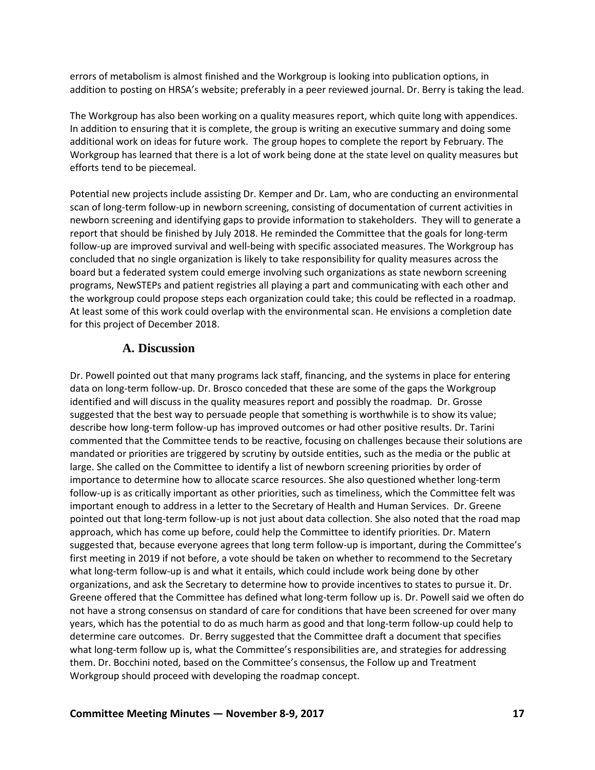errors of metabolism is almost finished and the Workgroup is looking into publication options, in addition to posting on HRSA's website; preferably in a peer reviewed journal. Dr. Berry is taking the lead.

The Workgroup has also been working on a quality measures report, which quite long with appendices. In addition to ensuring that it is complete, the group is writing an executive summary and doing some additional work on ideas for future work. The group hopes to complete the report by February. The Workgroup has learned that there is a lot of work being done at the state level on quality measures but efforts tend to be piecemeal.

Potential new projects include assisting Dr. Kemper and Dr. Lam, who are conducting an environmental scan of long-term follow-up in newborn screening, consisting of documentation of current activities in newborn screening and identifying gaps to provide information to stakeholders. They will to generate a report that should be finished by July 2018. He reminded the Committee that the goals for long-term follow-up are improved survival and well-being with specific associated measures. The Workgroup has concluded that no single organization is likely to take responsibility for quality measures across the board but a federated system could emerge involving such organizations as state newborn screening programs, NewSTEPs and patient registries all playing a part and communicating with each other and the workgroup could propose steps each organization could take; this could be reflected in a roadmap. At least some of this work could overlap with the environmental scan. He envisions a completion date for this project of December 2018.

## **A. Discussion**

<span id="page-20-0"></span>Dr. Powell pointed out that many programs lack staff, financing, and the systems in place for entering data on long-term follow-up. Dr. Brosco conceded that these are some of the gaps the Workgroup identified and will discuss in the quality measures report and possibly the roadmap. Dr. Grosse suggested that the best way to persuade people that something is worthwhile is to show its value; describe how long-term follow-up has improved outcomes or had other positive results. Dr. Tarini commented that the Committee tends to be reactive, focusing on challenges because their solutions are mandated or priorities are triggered by scrutiny by outside entities, such as the media or the public at large. She called on the Committee to identify a list of newborn screening priorities by order of importance to determine how to allocate scarce resources. She also questioned whether long-term follow-up is as critically important as other priorities, such as timeliness, which the Committee felt was important enough to address in a letter to the Secretary of Health and Human Services. Dr. Greene pointed out that long-term follow-up is not just about data collection. She also noted that the road map approach, which has come up before, could help the Committee to identify priorities. Dr. Matern suggested that, because everyone agrees that long term follow-up is important, during the Committee's first meeting in 2019 if not before, a vote should be taken on whether to recommend to the Secretary what long-term follow-up is and what it entails, which could include work being done by other organizations, and ask the Secretary to determine how to provide incentives to states to pursue it. Dr. Greene offered that the Committee has defined what long-term follow up is. Dr. Powell said we often do not have a strong consensus on standard of care for conditions that have been screened for over many years, which has the potential to do as much harm as good and that long-term follow-up could help to determine care outcomes. Dr. Berry suggested that the Committee draft a document that specifies what long-term follow up is, what the Committee's responsibilities are, and strategies for addressing them. Dr. Bocchini noted, based on the Committee's consensus, the Follow up and Treatment Workgroup should proceed with developing the roadmap concept.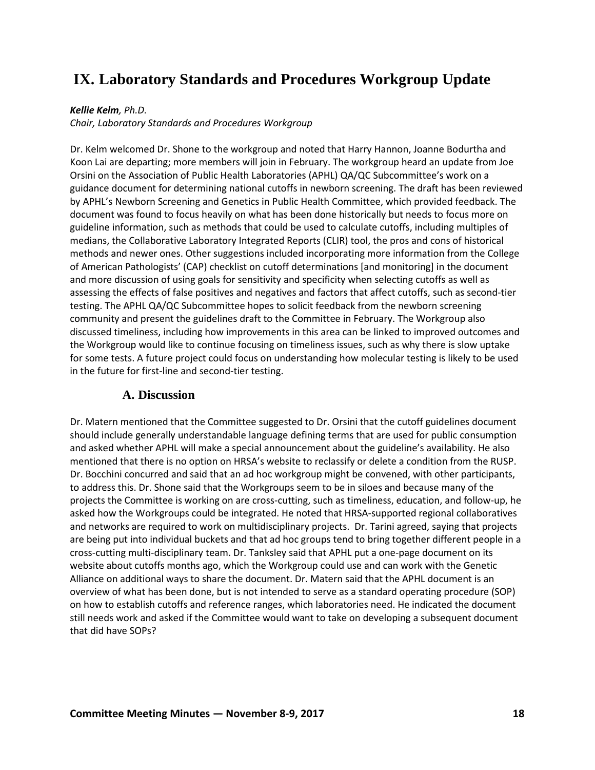# <span id="page-21-0"></span>**IX. Laboratory Standards and Procedures Workgroup Update**

### *Kellie Kelm, Ph.D.*

*Chair, Laboratory Standards and Procedures Workgroup*

Dr. Kelm welcomed Dr. Shone to the workgroup and noted that Harry Hannon, Joanne Bodurtha and Koon Lai are departing; more members will join in February. The workgroup heard an update from Joe Orsini on the Association of Public Health Laboratories (APHL) QA/QC Subcommittee's work on a guidance document for determining national cutoffs in newborn screening. The draft has been reviewed by APHL's Newborn Screening and Genetics in Public Health Committee, which provided feedback. The document was found to focus heavily on what has been done historically but needs to focus more on guideline information, such as methods that could be used to calculate cutoffs, including multiples of medians, the Collaborative Laboratory Integrated Reports (CLIR) tool, the pros and cons of historical methods and newer ones. Other suggestions included incorporating more information from the College of American Pathologists' (CAP) checklist on cutoff determinations [and monitoring] in the document and more discussion of using goals for sensitivity and specificity when selecting cutoffs as well as assessing the effects of false positives and negatives and factors that affect cutoffs, such as second-tier testing. The APHL QA/QC Subcommittee hopes to solicit feedback from the newborn screening community and present the guidelines draft to the Committee in February. The Workgroup also discussed timeliness, including how improvements in this area can be linked to improved outcomes and the Workgroup would like to continue focusing on timeliness issues, such as why there is slow uptake for some tests. A future project could focus on understanding how molecular testing is likely to be used in the future for first-line and second-tier testing.

## **A. Discussion**

<span id="page-21-1"></span>Dr. Matern mentioned that the Committee suggested to Dr. Orsini that the cutoff guidelines document should include generally understandable language defining terms that are used for public consumption and asked whether APHL will make a special announcement about the guideline's availability. He also mentioned that there is no option on HRSA's website to reclassify or delete a condition from the RUSP. Dr. Bocchini concurred and said that an ad hoc workgroup might be convened, with other participants, to address this. Dr. Shone said that the Workgroups seem to be in siloes and because many of the projects the Committee is working on are cross-cutting, such as timeliness, education, and follow-up, he asked how the Workgroups could be integrated. He noted that HRSA-supported regional collaboratives and networks are required to work on multidisciplinary projects. Dr. Tarini agreed, saying that projects are being put into individual buckets and that ad hoc groups tend to bring together different people in a cross-cutting multi-disciplinary team. Dr. Tanksley said that APHL put a one-page document on its website about cutoffs months ago, which the Workgroup could use and can work with the Genetic Alliance on additional ways to share the document. Dr. Matern said that the APHL document is an overview of what has been done, but is not intended to serve as a standard operating procedure (SOP) on how to establish cutoffs and reference ranges, which laboratories need. He indicated the document still needs work and asked if the Committee would want to take on developing a subsequent document that did have SOPs?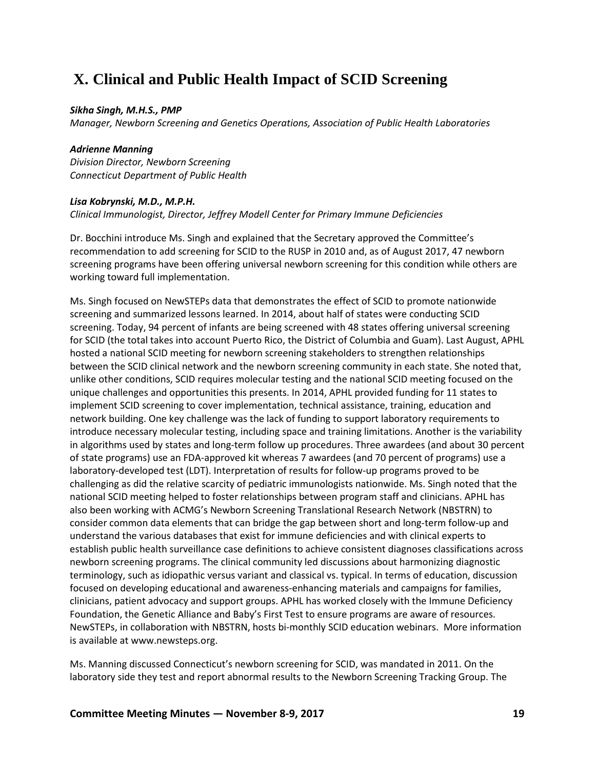# <span id="page-22-0"></span>**X. Clinical and Public Health Impact of SCID Screening**

### *Sikha Singh, M.H.S., PMP*

*Manager, Newborn Screening and Genetics Operations, Association of Public Health Laboratories*

### *Adrienne Manning*

*Division Director, Newborn Screening Connecticut Department of Public Health*

### *Lisa Kobrynski, M.D., M.P.H.*

*Clinical Immunologist, Director, Jeffrey Modell Center for Primary Immune Deficiencies*

Dr. Bocchini introduce Ms. Singh and explained that the Secretary approved the Committee's recommendation to add screening for SCID to the RUSP in 2010 and, as of August 2017, 47 newborn screening programs have been offering universal newborn screening for this condition while others are working toward full implementation.

Ms. Singh focused on NewSTEPs data that demonstrates the effect of SCID to promote nationwide screening and summarized lessons learned. In 2014, about half of states were conducting SCID screening. Today, 94 percent of infants are being screened with 48 states offering universal screening for SCID (the total takes into account Puerto Rico, the District of Columbia and Guam). Last August, APHL hosted a national SCID meeting for newborn screening stakeholders to strengthen relationships between the SCID clinical network and the newborn screening community in each state. She noted that, unlike other conditions, SCID requires molecular testing and the national SCID meeting focused on the unique challenges and opportunities this presents. In 2014, APHL provided funding for 11 states to implement SCID screening to cover implementation, technical assistance, training, education and network building. One key challenge was the lack of funding to support laboratory requirements to introduce necessary molecular testing, including space and training limitations. Another is the variability in algorithms used by states and long-term follow up procedures. Three awardees (and about 30 percent of state programs) use an FDA-approved kit whereas 7 awardees (and 70 percent of programs) use a laboratory-developed test (LDT). Interpretation of results for follow-up programs proved to be challenging as did the relative scarcity of pediatric immunologists nationwide. Ms. Singh noted that the national SCID meeting helped to foster relationships between program staff and clinicians. APHL has also been working with ACMG's Newborn Screening Translational Research Network (NBSTRN) to consider common data elements that can bridge the gap between short and long-term follow-up and understand the various databases that exist for immune deficiencies and with clinical experts to establish public health surveillance case definitions to achieve consistent diagnoses classifications across newborn screening programs. The clinical community led discussions about harmonizing diagnostic terminology, such as idiopathic versus variant and classical vs. typical. In terms of education, discussion focused on developing educational and awareness-enhancing materials and campaigns for families, clinicians, patient advocacy and support groups. APHL has worked closely with the Immune Deficiency Foundation, the Genetic Alliance and Baby's First Test to ensure programs are aware of resources. NewSTEPs, in collaboration with NBSTRN, hosts bi-monthly SCID education webinars. More information is available at www.newsteps.org.

Ms. Manning discussed Connecticut's newborn screening for SCID, was mandated in 2011. On the laboratory side they test and report abnormal results to the Newborn Screening Tracking Group. The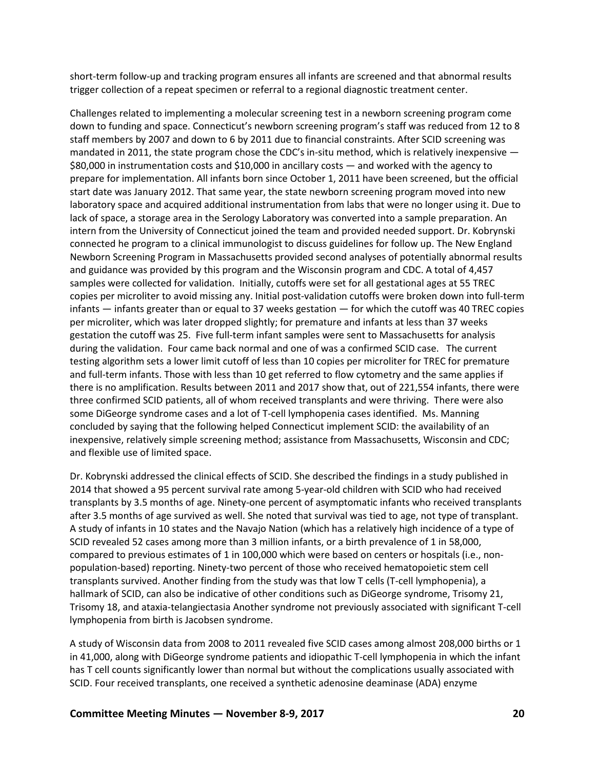short-term follow-up and tracking program ensures all infants are screened and that abnormal results trigger collection of a repeat specimen or referral to a regional diagnostic treatment center.

Challenges related to implementing a molecular screening test in a newborn screening program come down to funding and space. Connecticut's newborn screening program's staff was reduced from 12 to 8 staff members by 2007 and down to 6 by 2011 due to financial constraints. After SCID screening was mandated in 2011, the state program chose the CDC's in-situ method, which is relatively inexpensive  $-$ \$80,000 in instrumentation costs and \$10,000 in ancillary costs — and worked with the agency to prepare for implementation. All infants born since October 1, 2011 have been screened, but the official start date was January 2012. That same year, the state newborn screening program moved into new laboratory space and acquired additional instrumentation from labs that were no longer using it. Due to lack of space, a storage area in the Serology Laboratory was converted into a sample preparation. An intern from the University of Connecticut joined the team and provided needed support. Dr. Kobrynski connected he program to a clinical immunologist to discuss guidelines for follow up. The New England Newborn Screening Program in Massachusetts provided second analyses of potentially abnormal results and guidance was provided by this program and the Wisconsin program and CDC. A total of 4,457 samples were collected for validation. Initially, cutoffs were set for all gestational ages at 55 TREC copies per microliter to avoid missing any. Initial post-validation cutoffs were broken down into full-term infants — infants greater than or equal to 37 weeks gestation — for which the cutoff was 40 TREC copies per microliter, which was later dropped slightly; for premature and infants at less than 37 weeks gestation the cutoff was 25. Five full-term infant samples were sent to Massachusetts for analysis during the validation. Four came back normal and one of was a confirmed SCID case. The current testing algorithm sets a lower limit cutoff of less than 10 copies per microliter for TREC for premature and full-term infants. Those with less than 10 get referred to flow cytometry and the same applies if there is no amplification. Results between 2011 and 2017 show that, out of 221,554 infants, there were three confirmed SCID patients, all of whom received transplants and were thriving. There were also some DiGeorge syndrome cases and a lot of T-cell lymphopenia cases identified. Ms. Manning concluded by saying that the following helped Connecticut implement SCID: the availability of an inexpensive, relatively simple screening method; assistance from Massachusetts, Wisconsin and CDC; and flexible use of limited space.

Dr. Kobrynski addressed the clinical effects of SCID. She described the findings in a study published in 2014 that showed a 95 percent survival rate among 5-year-old children with SCID who had received transplants by 3.5 months of age. Ninety-one percent of asymptomatic infants who received transplants after 3.5 months of age survived as well. She noted that survival was tied to age, not type of transplant. A study of infants in 10 states and the Navajo Nation (which has a relatively high incidence of a type of SCID revealed 52 cases among more than 3 million infants, or a birth prevalence of 1 in 58,000, compared to previous estimates of 1 in 100,000 which were based on centers or hospitals (i.e., nonpopulation-based) reporting. Ninety-two percent of those who received hematopoietic stem cell transplants survived. Another finding from the study was that low T cells (T-cell lymphopenia), a hallmark of SCID, can also be indicative of other conditions such as DiGeorge syndrome, Trisomy 21, Trisomy 18, and ataxia-telangiectasia Another syndrome not previously associated with significant T-cell lymphopenia from birth is Jacobsen syndrome.

A study of Wisconsin data from 2008 to 2011 revealed five SCID cases among almost 208,000 births or 1 in 41,000, along with DiGeorge syndrome patients and idiopathic T-cell lymphopenia in which the infant has T cell counts significantly lower than normal but without the complications usually associated with SCID. Four received transplants, one received a synthetic adenosine deaminase (ADA) enzyme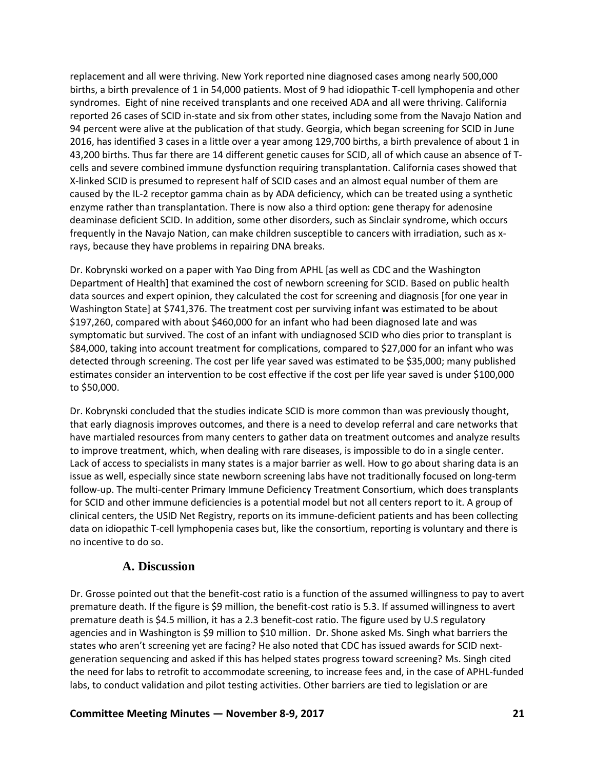replacement and all were thriving. New York reported nine diagnosed cases among nearly 500,000 births, a birth prevalence of 1 in 54,000 patients. Most of 9 had idiopathic T-cell lymphopenia and other syndromes. Eight of nine received transplants and one received ADA and all were thriving. California reported 26 cases of SCID in-state and six from other states, including some from the Navajo Nation and 94 percent were alive at the publication of that study. Georgia, which began screening for SCID in June 2016, has identified 3 cases in a little over a year among 129,700 births, a birth prevalence of about 1 in 43,200 births. Thus far there are 14 different genetic causes for SCID, all of which cause an absence of Tcells and severe combined immune dysfunction requiring transplantation. California cases showed that X-linked SCID is presumed to represent half of SCID cases and an almost equal number of them are caused by the IL-2 receptor gamma chain as by ADA deficiency, which can be treated using a synthetic enzyme rather than transplantation. There is now also a third option: gene therapy for adenosine deaminase deficient SCID. In addition, some other disorders, such as Sinclair syndrome, which occurs frequently in the Navajo Nation, can make children susceptible to cancers with irradiation, such as xrays, because they have problems in repairing DNA breaks.

Dr. Kobrynski worked on a paper with Yao Ding from APHL [as well as CDC and the Washington Department of Health] that examined the cost of newborn screening for SCID. Based on public health data sources and expert opinion, they calculated the cost for screening and diagnosis [for one year in Washington State] at \$741,376. The treatment cost per surviving infant was estimated to be about \$197,260, compared with about \$460,000 for an infant who had been diagnosed late and was symptomatic but survived. The cost of an infant with undiagnosed SCID who dies prior to transplant is \$84,000, taking into account treatment for complications, compared to \$27,000 for an infant who was detected through screening. The cost per life year saved was estimated to be \$35,000; many published estimates consider an intervention to be cost effective if the cost per life year saved is under \$100,000 to \$50,000.

Dr. Kobrynski concluded that the studies indicate SCID is more common than was previously thought, that early diagnosis improves outcomes, and there is a need to develop referral and care networks that have martialed resources from many centers to gather data on treatment outcomes and analyze results to improve treatment, which, when dealing with rare diseases, is impossible to do in a single center. Lack of access to specialists in many states is a major barrier as well. How to go about sharing data is an issue as well, especially since state newborn screening labs have not traditionally focused on long-term follow-up. The multi-center Primary Immune Deficiency Treatment Consortium, which does transplants for SCID and other immune deficiencies is a potential model but not all centers report to it. A group of clinical centers, the USID Net Registry, reports on its immune-deficient patients and has been collecting data on idiopathic T-cell lymphopenia cases but, like the consortium, reporting is voluntary and there is no incentive to do so.

## **A. Discussion**

<span id="page-24-0"></span>Dr. Grosse pointed out that the benefit-cost ratio is a function of the assumed willingness to pay to avert premature death. If the figure is \$9 million, the benefit-cost ratio is 5.3. If assumed willingness to avert premature death is \$4.5 million, it has a 2.3 benefit-cost ratio. The figure used by U.S regulatory agencies and in Washington is \$9 million to \$10 million. Dr. Shone asked Ms. Singh what barriers the states who aren't screening yet are facing? He also noted that CDC has issued awards for SCID nextgeneration sequencing and asked if this has helped states progress toward screening? Ms. Singh cited the need for labs to retrofit to accommodate screening, to increase fees and, in the case of APHL-funded labs, to conduct validation and pilot testing activities. Other barriers are tied to legislation or are